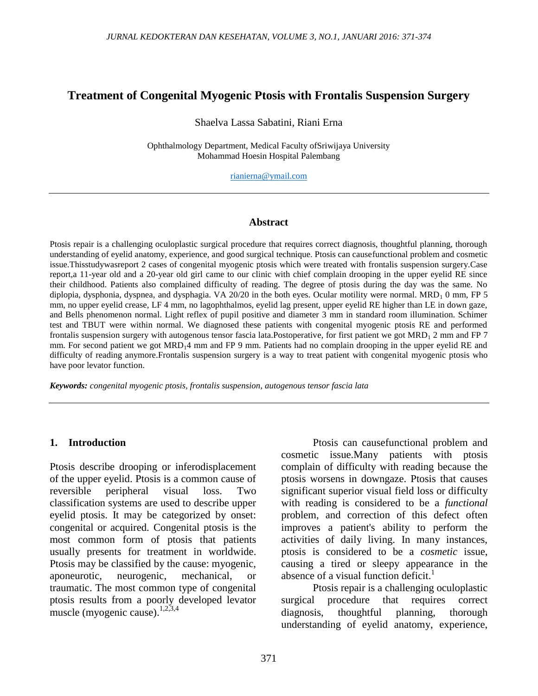# **Treatment of Congenital Myogenic Ptosis with Frontalis Suspension Surgery**

### Shaelva Lassa Sabatini, Riani Erna

Ophthalmology Department, Medical Faculty ofSriwijaya University Mohammad Hoesin Hospital Palembang

[rianierna@ymail.com](mailto:rianierna@ymail.com)

### **Abstract**

Ptosis repair is a challenging oculoplastic surgical procedure that requires correct diagnosis, thoughtful planning, thorough understanding of eyelid anatomy, experience, and good surgical technique. Ptosis can causefunctional problem and cosmetic issue.Thisstudywasreport 2 cases of congenital myogenic ptosis which were treated with frontalis suspension surgery.Case report,a 11-year old and a 20-year old girl came to our clinic with chief complain drooping in the upper eyelid RE since their childhood. Patients also complained difficulty of reading. The degree of ptosis during the day was the same. No diplopia, dysphonia, dyspnea, and dysphagia. VA 20/20 in the both eyes. Ocular motility were normal.  $MRD_1$  0 mm, FP 5 mm, no upper eyelid crease, LF 4 mm, no lagophthalmos, eyelid lag present, upper eyelid RE higher than LE in down gaze, and Bells phenomenon normal. Light reflex of pupil positive and diameter 3 mm in standard room illumination. Schimer test and TBUT were within normal. We diagnosed these patients with congenital myogenic ptosis RE and performed frontalis suspension surgery with autogenous tensor fascia lata.Postoperative, for first patient we got  $MRD<sub>1</sub>$  2 mm and FP 7 mm. For second patient we got MRD<sub>1</sub>4 mm and FP 9 mm. Patients had no complain drooping in the upper eyelid RE and difficulty of reading anymore.Frontalis suspension surgery is a way to treat patient with congenital myogenic ptosis who have poor levator function.

*Keywords: congenital myogenic ptosis, frontalis suspension, autogenous tensor fascia lata*

## **1. Introduction**

Ptosis describe drooping or inferodisplacement of the upper eyelid. Ptosis is a common cause of reversible peripheral visual loss. Two classification systems are used to describe upper eyelid ptosis. It may be categorized by onset: congenital or acquired. Congenital ptosis is the most common form of ptosis that patients usually presents for treatment in worldwide. Ptosis may be classified by the cause: myogenic, aponeurotic, neurogenic, mechanical, or traumatic. The most common type of congenital ptosis results from a poorly developed levator muscle (myogenic cause). $1,2,3,4$ 

Ptosis can causefunctional problem and cosmetic issue.Many patients with ptosis complain of difficulty with reading because the ptosis worsens in downgaze. Ptosis that causes significant superior visual field loss or difficulty with reading is considered to be a *functional*  problem, and correction of this defect often improves a patient's ability to perform the activities of daily living. In many instances, ptosis is considered to be a *cosmetic* issue, causing a tired or sleepy appearance in the absence of a visual function deficit.<sup>1</sup>

Ptosis repair is a challenging oculoplastic surgical procedure that requires correct diagnosis, thoughtful planning, thorough understanding of eyelid anatomy, experience,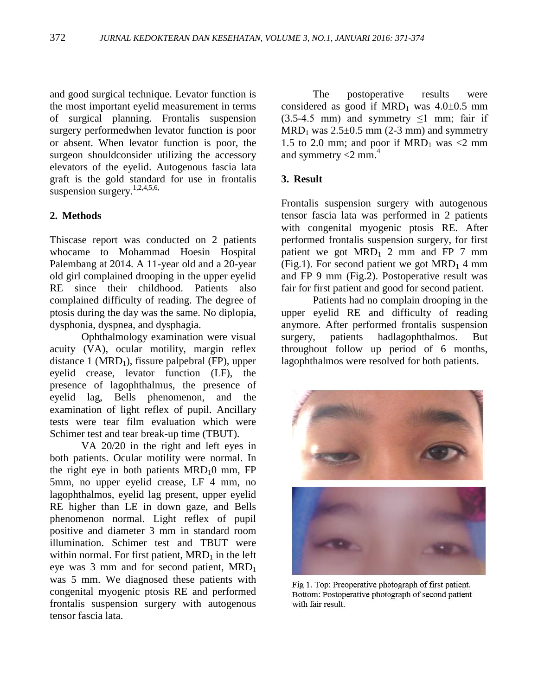and good surgical technique. Levator function is the most important eyelid measurement in terms of surgical planning. Frontalis suspension surgery performedwhen levator function is poor or absent. When levator function is poor, the surgeon shouldconsider utilizing the accessory elevators of the eyelid. Autogenous fascia lata graft is the gold standard for use in frontalis suspension surgery. $1,2,4,5,6$ ,

## **2. Methods**

Thiscase report was conducted on 2 patients whocame to Mohammad Hoesin Hospital Palembang at 2014. A 11-year old and a 20-year old girl complained drooping in the upper eyelid RE since their childhood. Patients also complained difficulty of reading. The degree of ptosis during the day was the same. No diplopia, dysphonia, dyspnea, and dysphagia.

Ophthalmology examination were visual acuity (VA), ocular motility, margin reflex distance 1 ( $MRD_1$ ), fissure palpebral (FP), upper eyelid crease, levator function (LF), the presence of lagophthalmus, the presence of eyelid lag, Bells phenomenon, and the examination of light reflex of pupil. Ancillary tests were tear film evaluation which were Schimer test and tear break-up time (TBUT).

VA 20/20 in the right and left eyes in both patients. Ocular motility were normal. In the right eye in both patients  $MRD<sub>1</sub>0$  mm, FP 5mm, no upper eyelid crease, LF 4 mm, no lagophthalmos, eyelid lag present, upper eyelid RE higher than LE in down gaze, and Bells phenomenon normal. Light reflex of pupil positive and diameter 3 mm in standard room illumination. Schimer test and TBUT were within normal. For first patient,  $MRD<sub>1</sub>$  in the left eye was 3 mm and for second patient,  $MRD<sub>1</sub>$ was 5 mm. We diagnosed these patients with congenital myogenic ptosis RE and performed frontalis suspension surgery with autogenous tensor fascia lata.

The postoperative results were considered as good if  $MRD_1$  was  $4.0\pm0.5$  mm  $(3.5-4.5 \text{ mm})$  and symmetry  $\leq 1$  mm; fair if  $MRD_1$  was  $2.5 \pm 0.5$  mm (2-3 mm) and symmetry 1.5 to 2.0 mm; and poor if  $MRD_1$  was <2 mm and symmetry  $<$ 2 mm.<sup>4</sup>

### **3. Result**

Frontalis suspension surgery with autogenous tensor fascia lata was performed in 2 patients with congenital myogenic ptosis RE. After performed frontalis suspension surgery, for first patient we got  $MRD_1$  2 mm and FP 7 mm (Fig.1). For second patient we got  $MRD_1$  4 mm and FP 9 mm (Fig.2). Postoperative result was fair for first patient and good for second patient.

Patients had no complain drooping in the upper eyelid RE and difficulty of reading anymore. After performed frontalis suspension surgery, patients hadlagophthalmos. But throughout follow up period of 6 months, lagophthalmos were resolved for both patients.



Fig 1. Top: Preoperative photograph of first patient. Bottom: Postoperative photograph of second patient with fair result.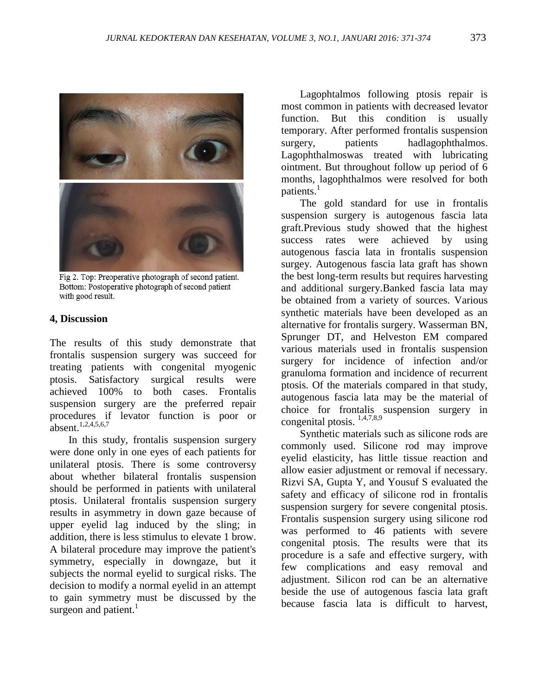

Fig 2. Top: Preoperative photograph of second patient. Bottom: Postoperative photograph of second patient with good result.

#### **4, Discussion**

The results of this study demonstrate that frontalis suspension surgery was succeed for treating patients with congenital myogenic ptosis. Satisfactory surgical results were achieved 100% to both cases. Frontalis suspension surgery are the preferred repair procedures if levator function is poor or  $a$ bsent.<sup>1,2,4,5,6,7</sup>

In this study, frontalis suspension surgery were done only in one eyes of each patients for unilateral ptosis. There is some controversy about whether bilateral frontalis suspension should be performed in patients with unilateral ptosis. Unilateral frontalis suspension surgery results in asymmetry in down gaze because of upper eyelid lag induced by the sling; in addition, there is less stimulus to elevate 1 brow. A bilateral procedure may improve the patient's symmetry, especially in downgaze, but it subjects the normal eyelid to surgical risks. The decision to modify a normal eyelid in an attempt to gain symmetry must be discussed by the surgeon and patient.<sup>1</sup>

Lagophtalmos following ptosis repair is most common in patients with decreased levator function. But this condition is usually temporary. After performed frontalis suspension surgery, patients hadlagophthalmos. Lagophthalmoswas treated with lubricating ointment. But throughout follow up period of 6 months, lagophthalmos were resolved for both patients.<sup>1</sup>

The gold standard for use in frontalis suspension surgery is autogenous fascia lata graft.Previous study showed that the highest success rates were achieved by using autogenous fascia lata in frontalis suspension surgey. Autogenous fascia lata graft has shown the best long-term results but requires harvesting and additional surgery.Banked fascia lata may be obtained from a variety of sources. Various synthetic materials have been developed as an alternative for frontalis surgery. Wasserman BN, Sprunger DT, and Helveston EM compared various materials used in frontalis suspension surgery for incidence of infection and/or granuloma formation and incidence of recurrent ptosis. Of the materials compared in that study, autogenous fascia lata may be the material of choice for frontalis suspension surgery in congenital ptosis.  $\frac{1,4,7,8,9}{1,4,7,8,9}$ 

Synthetic materials such as silicone rods are commonly used. Silicone rod may improve eyelid elasticity, has little tissue reaction and allow easier adjustment or removal if necessary. Rizvi SA, Gupta Y, and Yousuf S evaluated the safety and efficacy of silicone rod in frontalis suspension surgery for severe congenital ptosis. Frontalis suspension surgery using silicone rod was performed to 46 patients with severe congenital ptosis. The results were that its procedure is a safe and effective surgery, with few complications and easy removal and adjustment. Silicon rod can be an alternative beside the use of autogenous fascia lata graft because fascia lata is difficult to harvest,